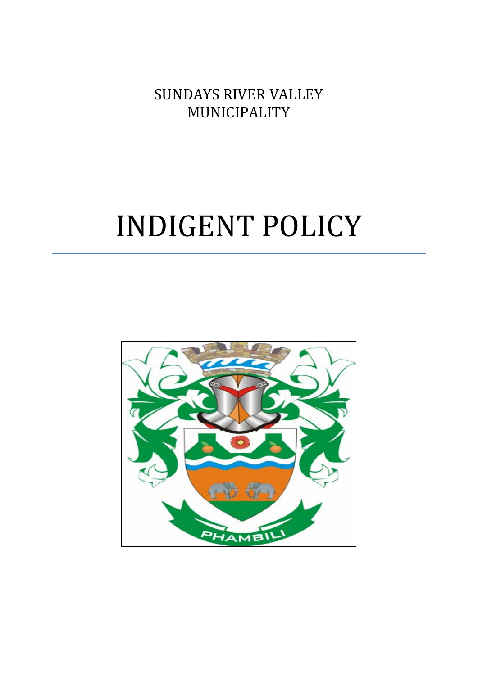**SUNDAYS RIVER VALLEY** MUNICIPALITY 

# INDIGENT POLICY

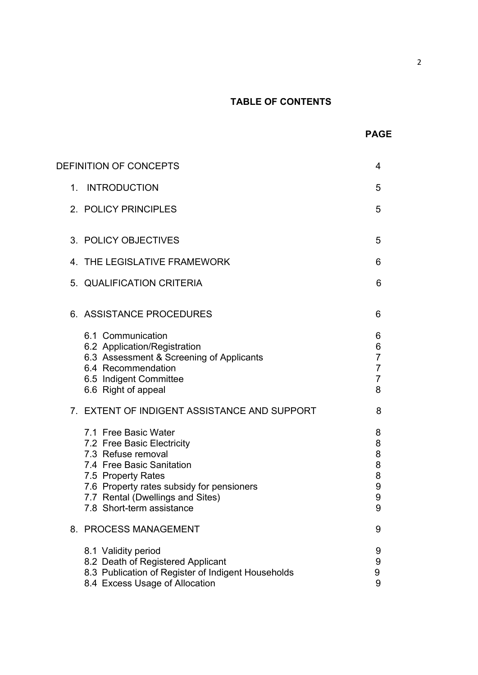# **TABLE OF CONTENTS**

2

|             |                                                                                                                                                                                                                                           | <b>PAGE</b>                                                       |
|-------------|-------------------------------------------------------------------------------------------------------------------------------------------------------------------------------------------------------------------------------------------|-------------------------------------------------------------------|
|             | DEFINITION OF CONCEPTS                                                                                                                                                                                                                    | 4                                                                 |
| $1_{\cdot}$ | <b>INTRODUCTION</b>                                                                                                                                                                                                                       | 5                                                                 |
|             | 2. POLICY PRINCIPLES                                                                                                                                                                                                                      | 5                                                                 |
|             | 3. POLICY OBJECTIVES                                                                                                                                                                                                                      | 5                                                                 |
|             | 4. THE LEGISLATIVE FRAMEWORK                                                                                                                                                                                                              | 6                                                                 |
|             | 5. QUALIFICATION CRITERIA                                                                                                                                                                                                                 | 6                                                                 |
|             | 6. ASSISTANCE PROCEDURES                                                                                                                                                                                                                  | 6                                                                 |
|             | 6.1 Communication<br>6.2 Application/Registration<br>6.3 Assessment & Screening of Applicants<br>6.4 Recommendation<br>6.5 Indigent Committee<br>6.6 Right of appeal                                                                      | 6<br>6<br>$\overline{7}$<br>$\overline{7}$<br>$\overline{7}$<br>8 |
|             | 7. EXTENT OF INDIGENT ASSISTANCE AND SUPPORT                                                                                                                                                                                              | 8                                                                 |
|             | 7.1 Free Basic Water<br>7.2 Free Basic Electricity<br>7.3 Refuse removal<br>7.4 Free Basic Sanitation<br>7.5 Property Rates<br>7.6 Property rates subsidy for pensioners<br>7.7 Rental (Dwellings and Sites)<br>7.8 Short-term assistance | 8<br>8<br>8<br>8<br>8<br>9<br>9<br>9                              |
|             | 8. PROCESS MANAGEMENT                                                                                                                                                                                                                     | 9                                                                 |
|             | 8.1 Validity period<br>8.2 Death of Registered Applicant<br>8.3 Publication of Register of Indigent Households<br>8.4 Excess Usage of Allocation                                                                                          | 9<br>9<br>9<br>9                                                  |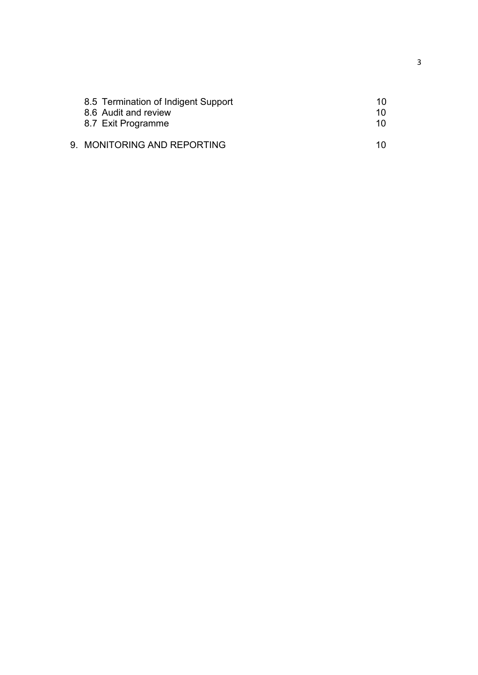| 8.5 Termination of Indigent Support<br>8.6 Audit and review<br>8.7 Exit Programme | 10.<br>1 N<br>1 N |
|-----------------------------------------------------------------------------------|-------------------|
| 9. MONITORING AND REPORTING                                                       | 1 N               |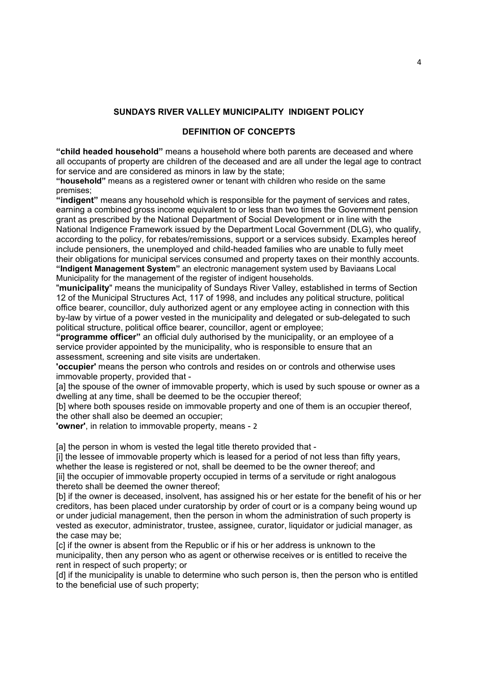### **SUNDAYS RIVER VALLEY MUNICIPALITY INDIGENT POLICY**

#### **DEFINITION OF CONCEPTS**

**"child headed household"** means a household where both parents are deceased and where all occupants of property are children of the deceased and are all under the legal age to contract for service and are considered as minors in law by the state;

**"household"** means as a registered owner or tenant with children who reside on the same premises;

**"indigent"** means any household which is responsible for the payment of services and rates, earning a combined gross income equivalent to or less than two times the Government pension grant as prescribed by the National Department of Social Development or in line with the National Indigence Framework issued by the Department Local Government (DLG), who qualify, according to the policy, for rebates/remissions, support or a services subsidy. Examples hereof include pensioners, the unemployed and child-headed families who are unable to fully meet their obligations for municipal services consumed and property taxes on their monthly accounts. **"Indigent Management System"** an electronic management system used by Baviaans Local Municipality for the management of the register of indigent households.

"**municipality**" means the municipality of Sundays River Valley, established in terms of Section 12 of the Municipal Structures Act, 117 of 1998, and includes any political structure, political office bearer, councillor, duly authorized agent or any employee acting in connection with this by-law by virtue of a power vested in the municipality and delegated or sub-delegated to such political structure, political office bearer, councillor, agent or employee;

**"programme officer"** an official duly authorised by the municipality, or an employee of a service provider appointed by the municipality, who is responsible to ensure that an assessment, screening and site visits are undertaken.

**'occupier'** means the person who controls and resides on or controls and otherwise uses immovable property, provided that -

[a] the spouse of the owner of immovable property, which is used by such spouse or owner as a dwelling at any time, shall be deemed to be the occupier thereof;

[b] where both spouses reside on immovable property and one of them is an occupier thereof, the other shall also be deemed an occupier;

**'owner'**, in relation to immovable property, means - 2

[a] the person in whom is vested the legal title thereto provided that -

[i] the lessee of immovable property which is leased for a period of not less than fifty years, whether the lease is registered or not, shall be deemed to be the owner thereof; and [ii] the occupier of immovable property occupied in terms of a servitude or right analogous thereto shall be deemed the owner thereof;

[b] if the owner is deceased, insolvent, has assigned his or her estate for the benefit of his or her creditors, has been placed under curatorship by order of court or is a company being wound up or under judicial management, then the person in whom the administration of such property is vested as executor, administrator, trustee, assignee, curator, liquidator or judicial manager, as the case may be;

[c] if the owner is absent from the Republic or if his or her address is unknown to the municipality, then any person who as agent or otherwise receives or is entitled to receive the rent in respect of such property; or

[d] if the municipality is unable to determine who such person is, then the person who is entitled to the beneficial use of such property;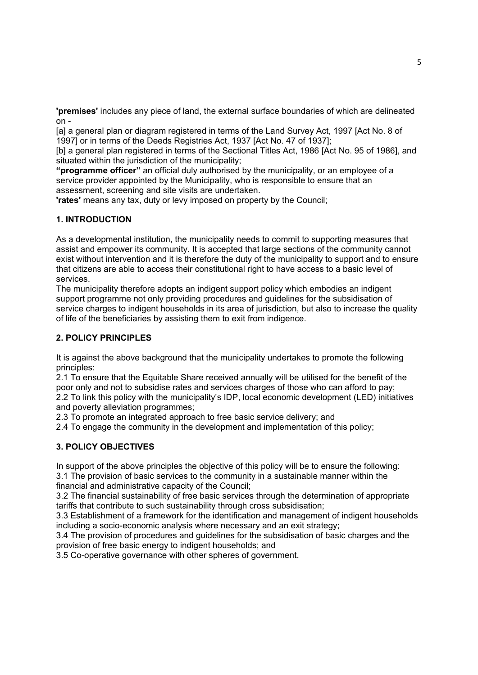**'premises'** includes any piece of land, the external surface boundaries of which are delineated on -

[a] a general plan or diagram registered in terms of the Land Survey Act, 1997 [Act No. 8 of 1997] or in terms of the Deeds Registries Act, 1937 [Act No. 47 of 1937];

[b] a general plan registered in terms of the Sectional Titles Act, 1986 [Act No. 95 of 1986], and situated within the jurisdiction of the municipality;

**"programme officer"** an official duly authorised by the municipality, or an employee of a service provider appointed by the Municipality, who is responsible to ensure that an assessment, screening and site visits are undertaken.

**'rates'** means any tax, duty or levy imposed on property by the Council;

## **1. INTRODUCTION**

As a developmental institution, the municipality needs to commit to supporting measures that assist and empower its community. It is accepted that large sections of the community cannot exist without intervention and it is therefore the duty of the municipality to support and to ensure that citizens are able to access their constitutional right to have access to a basic level of services.

The municipality therefore adopts an indigent support policy which embodies an indigent support programme not only providing procedures and guidelines for the subsidisation of service charges to indigent households in its area of jurisdiction, but also to increase the quality of life of the beneficiaries by assisting them to exit from indigence.

### **2. POLICY PRINCIPLES**

It is against the above background that the municipality undertakes to promote the following principles:

2.1 To ensure that the Equitable Share received annually will be utilised for the benefit of the poor only and not to subsidise rates and services charges of those who can afford to pay;

2.2 To link this policy with the municipality's IDP, local economic development (LED) initiatives and poverty alleviation programmes;

2.3 To promote an integrated approach to free basic service delivery; and

2.4 To engage the community in the development and implementation of this policy;

#### **3. POLICY OBJECTIVES**

In support of the above principles the objective of this policy will be to ensure the following: 3.1 The provision of basic services to the community in a sustainable manner within the financial and administrative capacity of the Council;

3.2 The financial sustainability of free basic services through the determination of appropriate tariffs that contribute to such sustainability through cross subsidisation;

3.3 Establishment of a framework for the identification and management of indigent households including a socio-economic analysis where necessary and an exit strategy;

3.4 The provision of procedures and guidelines for the subsidisation of basic charges and the provision of free basic energy to indigent households; and

3.5 Co-operative governance with other spheres of government.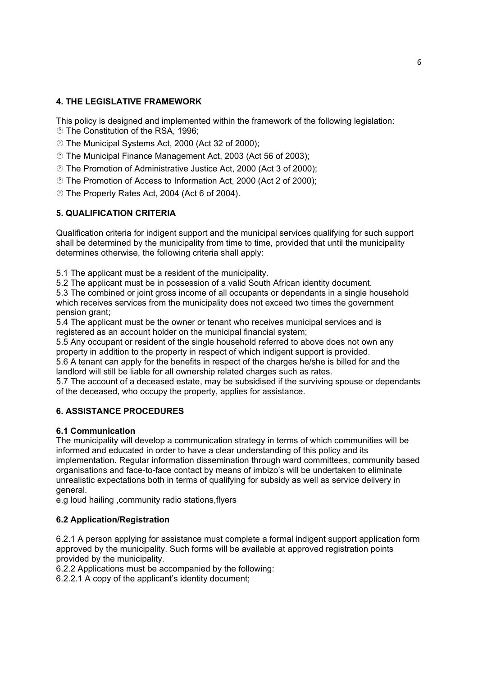# **4. THE LEGISLATIVE FRAMEWORK**

This policy is designed and implemented within the framework of the following legislation:

- **The Constitution of the RSA, 1996:**
- The Municipal Systems Act, 2000 (Act 32 of 2000);
- The Municipal Finance Management Act, 2003 (Act 56 of 2003);
- The Promotion of Administrative Justice Act, 2000 (Act 3 of 2000);
- The Promotion of Access to Information Act, 2000 (Act 2 of 2000);
- The Property Rates Act, 2004 (Act 6 of 2004).

# **5. QUALIFICATION CRITERIA**

Qualification criteria for indigent support and the municipal services qualifying for such support shall be determined by the municipality from time to time, provided that until the municipality determines otherwise, the following criteria shall apply:

5.1 The applicant must be a resident of the municipality.

5.2 The applicant must be in possession of a valid South African identity document.

5.3 The combined or joint gross income of all occupants or dependants in a single household which receives services from the municipality does not exceed two times the government pension grant;

5.4 The applicant must be the owner or tenant who receives municipal services and is registered as an account holder on the municipal financial system;

5.5 Any occupant or resident of the single household referred to above does not own any property in addition to the property in respect of which indigent support is provided.

5.6 A tenant can apply for the benefits in respect of the charges he/she is billed for and the landlord will still be liable for all ownership related charges such as rates.

5.7 The account of a deceased estate, may be subsidised if the surviving spouse or dependants of the deceased, who occupy the property, applies for assistance.

# **6. ASSISTANCE PROCEDURES**

# **6.1 Communication**

The municipality will develop a communication strategy in terms of which communities will be informed and educated in order to have a clear understanding of this policy and its implementation. Regular information dissemination through ward committees, community based organisations and face-to-face contact by means of imbizo's will be undertaken to eliminate unrealistic expectations both in terms of qualifying for subsidy as well as service delivery in general.

e.g loud hailing ,community radio stations,flyers

# **6.2 Application/Registration**

6.2.1 A person applying for assistance must complete a formal indigent support application form approved by the municipality. Such forms will be available at approved registration points provided by the municipality.

6.2.2 Applications must be accompanied by the following:

6.2.2.1 A copy of the applicant's identity document;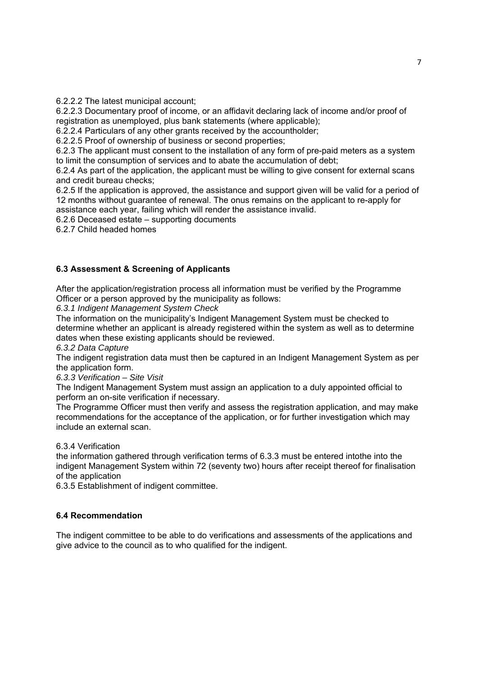6.2.2.2 The latest municipal account;

6.2.2.3 Documentary proof of income, or an affidavit declaring lack of income and/or proof of registration as unemployed, plus bank statements (where applicable);

6.2.2.4 Particulars of any other grants received by the accountholder;

6.2.2.5 Proof of ownership of business or second properties;

6.2.3 The applicant must consent to the installation of any form of pre-paid meters as a system to limit the consumption of services and to abate the accumulation of debt;

6.2.4 As part of the application, the applicant must be willing to give consent for external scans and credit bureau checks;

6.2.5 If the application is approved, the assistance and support given will be valid for a period of 12 months without guarantee of renewal. The onus remains on the applicant to re-apply for assistance each year, failing which will render the assistance invalid.

6.2.6 Deceased estate – supporting documents

6.2.7 Child headed homes

# **6.3 Assessment & Screening of Applicants**

After the application/registration process all information must be verified by the Programme Officer or a person approved by the municipality as follows:

*6.3.1 Indigent Management System Check* 

The information on the municipality's Indigent Management System must be checked to determine whether an applicant is already registered within the system as well as to determine dates when these existing applicants should be reviewed.

*6.3.2 Data Capture* 

The indigent registration data must then be captured in an Indigent Management System as per the application form.

*6.3.3 Verification – Site Visit* 

The Indigent Management System must assign an application to a duly appointed official to perform an on-site verification if necessary.

The Programme Officer must then verify and assess the registration application, and may make recommendations for the acceptance of the application, or for further investigation which may include an external scan.

6.3.4 Verification

the information gathered through verification terms of 6.3.3 must be entered intothe into the indigent Management System within 72 (seventy two) hours after receipt thereof for finalisation of the application

6.3.5 Establishment of indigent committee.

#### **6.4 Recommendation**

The indigent committee to be able to do verifications and assessments of the applications and give advice to the council as to who qualified for the indigent.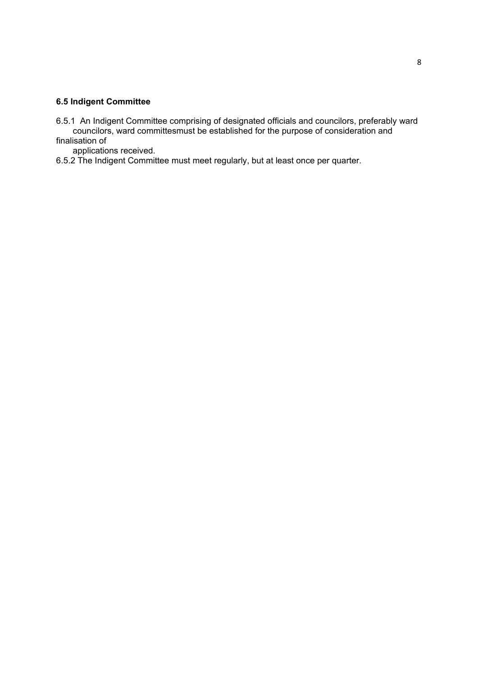# **6.5 Indigent Committee**

6.5.1 An Indigent Committee comprising of designated officials and councilors, preferably ward councilors, ward committesmust be established for the purpose of consideration and finalisation of

applications received.

6.5.2 The Indigent Committee must meet regularly, but at least once per quarter.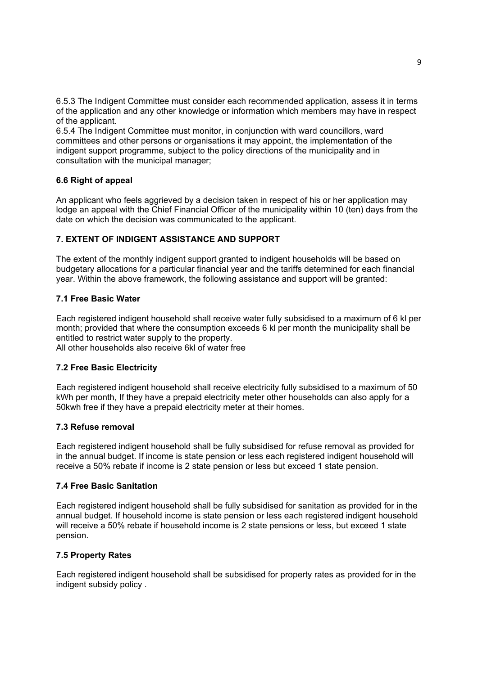6.5.3 The Indigent Committee must consider each recommended application, assess it in terms of the application and any other knowledge or information which members may have in respect of the applicant.

6.5.4 The Indigent Committee must monitor, in conjunction with ward councillors, ward committees and other persons or organisations it may appoint, the implementation of the indigent support programme, subject to the policy directions of the municipality and in consultation with the municipal manager;

## **6.6 Right of appeal**

An applicant who feels aggrieved by a decision taken in respect of his or her application may lodge an appeal with the Chief Financial Officer of the municipality within 10 (ten) days from the date on which the decision was communicated to the applicant.

## **7. EXTENT OF INDIGENT ASSISTANCE AND SUPPORT**

The extent of the monthly indigent support granted to indigent households will be based on budgetary allocations for a particular financial year and the tariffs determined for each financial year. Within the above framework, the following assistance and support will be granted:

## **7.1 Free Basic Water**

Each registered indigent household shall receive water fully subsidised to a maximum of 6 kl per month; provided that where the consumption exceeds 6 kl per month the municipality shall be entitled to restrict water supply to the property. All other households also receive 6kl of water free

#### **7.2 Free Basic Electricity**

Each registered indigent household shall receive electricity fully subsidised to a maximum of 50 kWh per month, If they have a prepaid electricity meter other households can also apply for a 50kwh free if they have a prepaid electricity meter at their homes.

#### **7.3 Refuse removal**

Each registered indigent household shall be fully subsidised for refuse removal as provided for in the annual budget. If income is state pension or less each registered indigent household will receive a 50% rebate if income is 2 state pension or less but exceed 1 state pension.

#### **7.4 Free Basic Sanitation**

Each registered indigent household shall be fully subsidised for sanitation as provided for in the annual budget. If household income is state pension or less each registered indigent household will receive a 50% rebate if household income is 2 state pensions or less, but exceed 1 state pension.

# **7.5 Property Rates**

Each registered indigent household shall be subsidised for property rates as provided for in the indigent subsidy policy .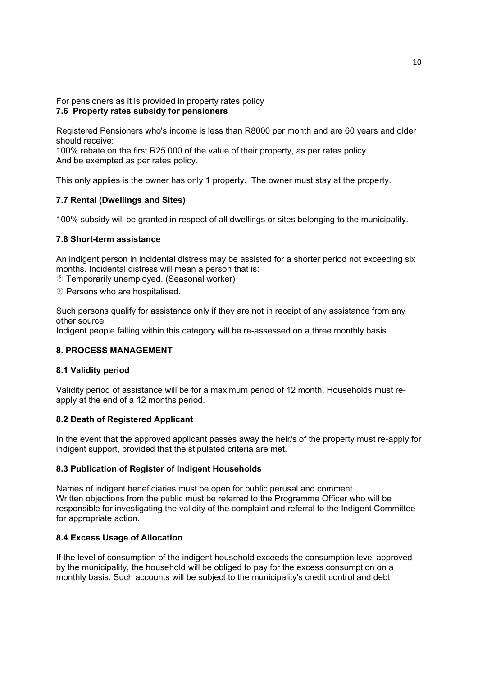For pensioners as it is provided in property rates policy **7.6 Property rates subsidy for pensioners** 

Registered Pensioners who's income is less than R8000 per month and are 60 years and older should receive:

100% rebate on the first R25 000 of the value of their property, as per rates policy And be exempted as per rates policy.

This only applies is the owner has only 1 property. The owner must stay at the property.

#### **7.7 Rental (Dwellings and Sites)**

100% subsidy will be granted in respect of all dwellings or sites belonging to the municipality.

#### **7.8 Short-term assistance**

An indigent person in incidental distress may be assisted for a shorter period not exceeding six months. Incidental distress will mean a person that is:

Temporarily unemployed. (Seasonal worker)

**D** Persons who are hospitalised.

Such persons qualify for assistance only if they are not in receipt of any assistance from any other source.

Indigent people falling within this category will be re-assessed on a three monthly basis.

#### **8. PROCESS MANAGEMENT**

#### **8.1 Validity period**

Validity period of assistance will be for a maximum period of 12 month. Households must reapply at the end of a 12 months period.

#### **8.2 Death of Registered Applicant**

In the event that the approved applicant passes away the heir/s of the property must re-apply for indigent support, provided that the stipulated criteria are met.

#### **8.3 Publication of Register of Indigent Households**

Names of indigent beneficiaries must be open for public perusal and comment. Written objections from the public must be referred to the Programme Officer who will be responsible for investigating the validity of the complaint and referral to the Indigent Committee for appropriate action.

#### **8.4 Excess Usage of Allocation**

If the level of consumption of the indigent household exceeds the consumption level approved by the municipality, the household will be obliged to pay for the excess consumption on a monthly basis. Such accounts will be subject to the municipality's credit control and debt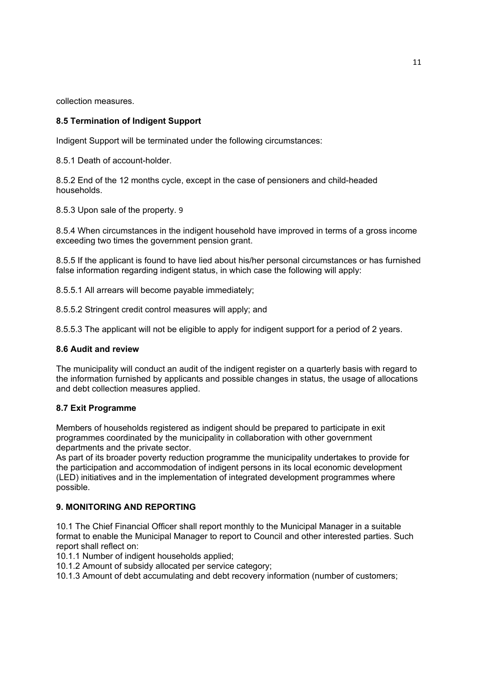collection measures.

## **8.5 Termination of Indigent Support**

Indigent Support will be terminated under the following circumstances:

8.5.1 Death of account-holder.

8.5.2 End of the 12 months cycle, except in the case of pensioners and child-headed households.

8.5.3 Upon sale of the property. 9

8.5.4 When circumstances in the indigent household have improved in terms of a gross income exceeding two times the government pension grant.

8.5.5 If the applicant is found to have lied about his/her personal circumstances or has furnished false information regarding indigent status, in which case the following will apply:

8.5.5.1 All arrears will become payable immediately;

8.5.5.2 Stringent credit control measures will apply; and

8.5.5.3 The applicant will not be eligible to apply for indigent support for a period of 2 years.

#### **8.6 Audit and review**

The municipality will conduct an audit of the indigent register on a quarterly basis with regard to the information furnished by applicants and possible changes in status, the usage of allocations and debt collection measures applied.

#### **8.7 Exit Programme**

Members of households registered as indigent should be prepared to participate in exit programmes coordinated by the municipality in collaboration with other government departments and the private sector.

As part of its broader poverty reduction programme the municipality undertakes to provide for the participation and accommodation of indigent persons in its local economic development (LED) initiatives and in the implementation of integrated development programmes where possible.

### **9. MONITORING AND REPORTING**

10.1 The Chief Financial Officer shall report monthly to the Municipal Manager in a suitable format to enable the Municipal Manager to report to Council and other interested parties. Such report shall reflect on:

10.1.1 Number of indigent households applied;

10.1.2 Amount of subsidy allocated per service category;

10.1.3 Amount of debt accumulating and debt recovery information (number of customers;